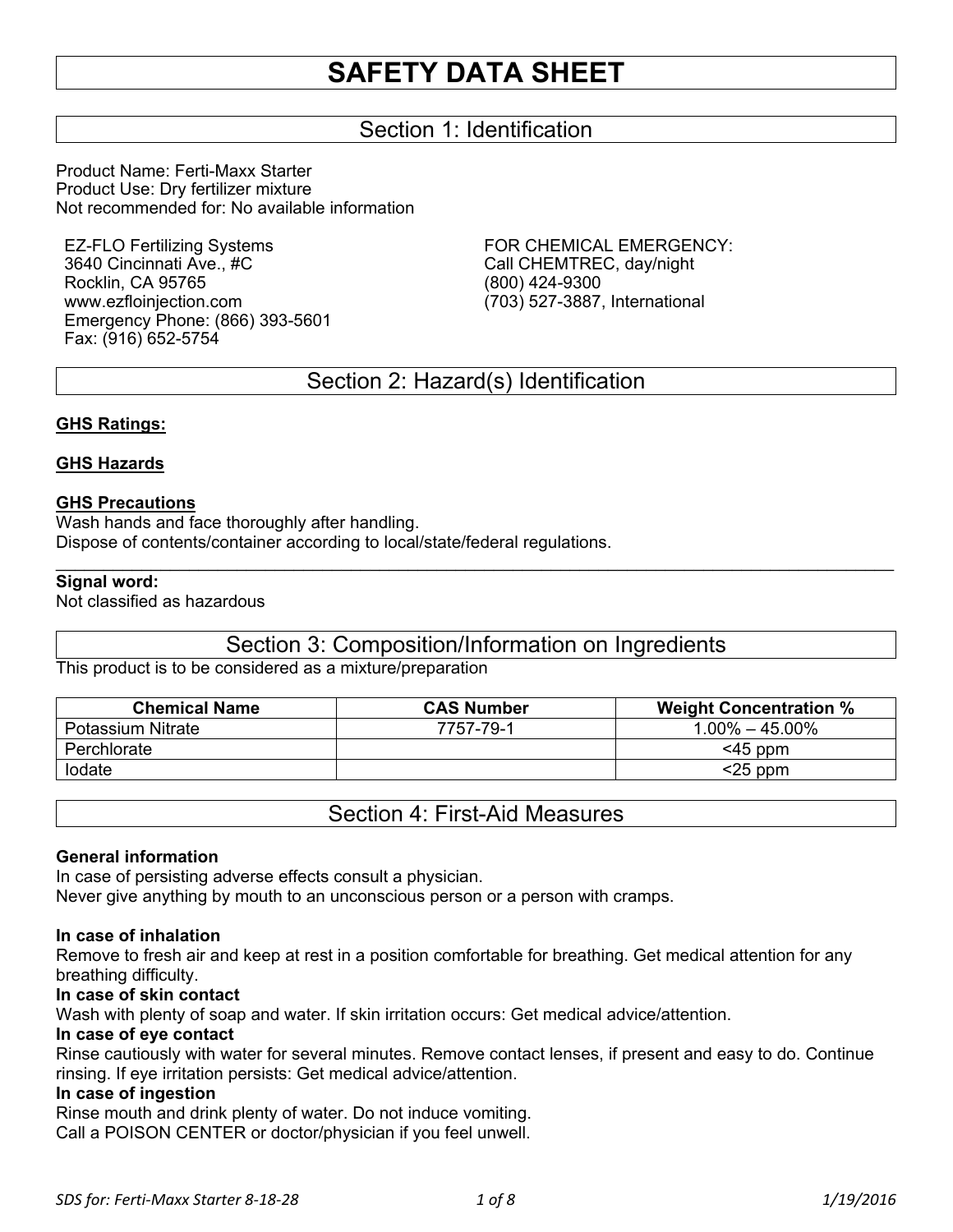## Section 1: Identification

Product Name: Ferti-Maxx Starter Product Use: Dry fertilizer mixture Not recommended for: No available information

EZ-FLO Fertilizing Systems 3640 Cincinnati Ave., #C Rocklin, CA 95765 www.ezfloinjection.com Emergency Phone: (866) 393-5601 Fax: (916) 652-5754

FOR CHEMICAL EMERGENCY: Call CHEMTREC, day/night (800) 424-9300 (703) 527-3887, International

## Section 2: Hazard(s) Identification

#### **GHS Ratings:**

#### **GHS Hazards**

#### **GHS Precautions**

Wash hands and face thoroughly after handling. Dispose of contents/container according to local/state/federal regulations.

#### **Signal word:**

Not classified as hazardous

### Section 3: Composition/Information on Ingredients

 $\mathcal{L}_\mathcal{L} = \mathcal{L}_\mathcal{L} = \mathcal{L}_\mathcal{L} = \mathcal{L}_\mathcal{L} = \mathcal{L}_\mathcal{L} = \mathcal{L}_\mathcal{L} = \mathcal{L}_\mathcal{L} = \mathcal{L}_\mathcal{L} = \mathcal{L}_\mathcal{L} = \mathcal{L}_\mathcal{L} = \mathcal{L}_\mathcal{L} = \mathcal{L}_\mathcal{L} = \mathcal{L}_\mathcal{L} = \mathcal{L}_\mathcal{L} = \mathcal{L}_\mathcal{L} = \mathcal{L}_\mathcal{L} = \mathcal{L}_\mathcal{L}$ 

This product is to be considered as a mixture/preparation

| <b>Chemical Name</b> | <b>CAS Number</b> | <b>Weight Concentration %</b> |
|----------------------|-------------------|-------------------------------|
| Potassium Nitrate    | 7757-79-1         | $1.00\% - 45.00\%$            |
| Perchlorate          |                   | $<$ 45 ppm                    |
| lodate               |                   | $<$ 25 ppm                    |

Section 4: First-Aid Measures

#### **General information**

In case of persisting adverse effects consult a physician.

Never give anything by mouth to an unconscious person or a person with cramps.

#### **In case of inhalation**

Remove to fresh air and keep at rest in a position comfortable for breathing. Get medical attention for any breathing difficulty.

#### **In case of skin contact**

Wash with plenty of soap and water. If skin irritation occurs: Get medical advice/attention.

#### **In case of eye contact**

Rinse cautiously with water for several minutes. Remove contact lenses, if present and easy to do. Continue rinsing. If eye irritation persists: Get medical advice/attention.

#### **In case of ingestion**

Rinse mouth and drink plenty of water. Do not induce vomiting. Call a POISON CENTER or doctor/physician if you feel unwell.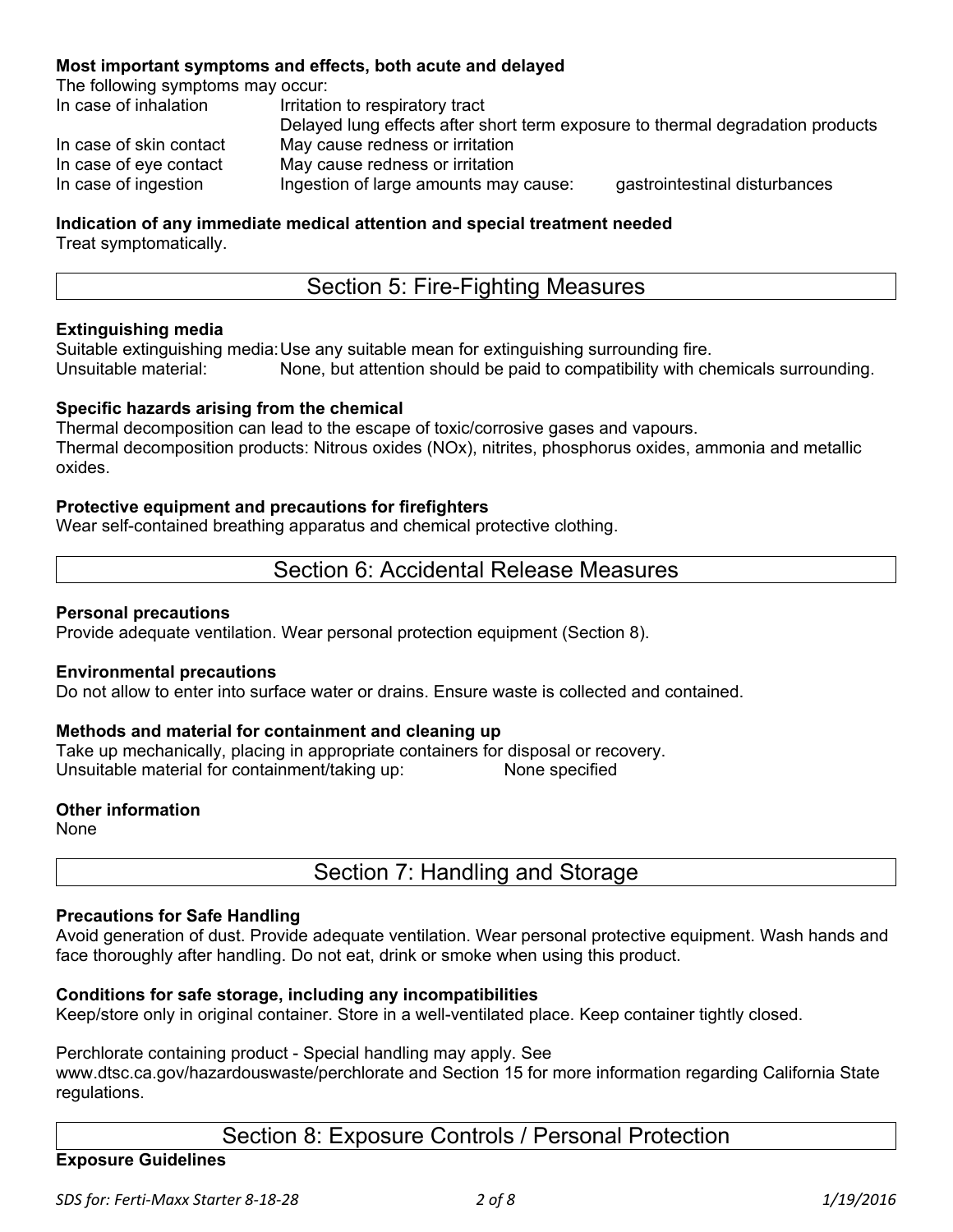#### **Most important symptoms and effects, both acute and delayed**

The following symptoms may occur:

| In case of inhalation   | Irritation to respiratory tract                                                |                               |
|-------------------------|--------------------------------------------------------------------------------|-------------------------------|
|                         | Delayed lung effects after short term exposure to thermal degradation products |                               |
| In case of skin contact | May cause redness or irritation                                                |                               |
| In case of eye contact  | May cause redness or irritation                                                |                               |
| In case of ingestion    | Ingestion of large amounts may cause:                                          | gastrointestinal disturbances |

# **Indication of any immediate medical attention and special treatment needed**

Treat symptomatically.

## Section 5: Fire-Fighting Measures

#### **Extinguishing media**

Suitable extinguishing media: Use any suitable mean for extinguishing surrounding fire. None, but attention should be paid to compatibility with chemicals surrounding.

#### **Specific hazards arising from the chemical**

Thermal decomposition can lead to the escape of toxic/corrosive gases and vapours. Thermal decomposition products: Nitrous oxides (NOx), nitrites, phosphorus oxides, ammonia and metallic oxides.

#### **Protective equipment and precautions for firefighters**

Wear self-contained breathing apparatus and chemical protective clothing.

### Section 6: Accidental Release Measures

#### **Personal precautions**

Provide adequate ventilation. Wear personal protection equipment (Section 8).

#### **Environmental precautions**

Do not allow to enter into surface water or drains. Ensure waste is collected and contained.

#### **Methods and material for containment and cleaning up**

Take up mechanically, placing in appropriate containers for disposal or recovery. Unsuitable material for containment/taking up: None specified

#### **Other information**

None

Section 7: Handling and Storage

#### **Precautions for Safe Handling**

Avoid generation of dust. Provide adequate ventilation. Wear personal protective equipment. Wash hands and face thoroughly after handling. Do not eat, drink or smoke when using this product.

#### **Conditions for safe storage, including any incompatibilities**

Keep/store only in original container. Store in a well-ventilated place. Keep container tightly closed.

#### Perchlorate containing product - Special handling may apply. See

www.dtsc.ca.gov/hazardouswaste/perchlorate and Section 15 for more information regarding California State regulations.

## Section 8: Exposure Controls / Personal Protection

#### **Exposure Guidelines**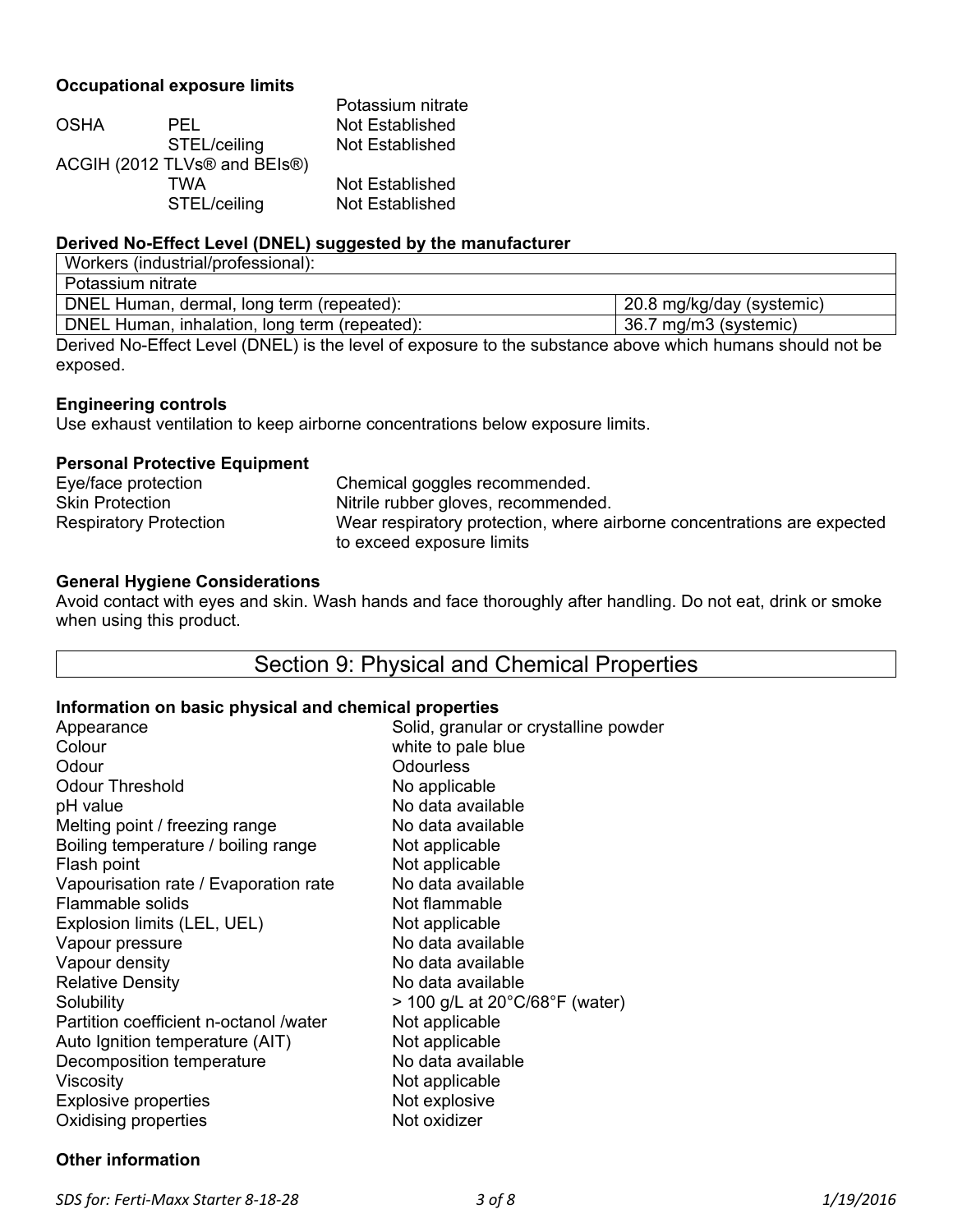#### **Occupational exposure limits**

|              | Potassium nitrate            |
|--------------|------------------------------|
| PEL.         | Not Established              |
| STEL/ceiling | Not Established              |
|              |                              |
| TWA          | Not Established              |
| STEL/ceiling | Not Established              |
|              | ACGIH (2012 TLVs® and BEIs®) |

#### **Derived No-Effect Level (DNEL) suggested by the manufacturer**

| Workers (industrial/professional):                                                                        |                           |
|-----------------------------------------------------------------------------------------------------------|---------------------------|
| Potassium nitrate                                                                                         |                           |
| DNEL Human, dermal, long term (repeated):                                                                 | 20.8 mg/kg/day (systemic) |
| DNEL Human, inhalation, long term (repeated):                                                             | 36.7 mg/m3 (systemic)     |
| Derived Ne Effect Loyal (DNEL) in the loyal of ovpoques to the oubstance above which bumans should not be |                           |

Derived No-Effect Level (DNEL) is the level of exposure to the substance above which humans should not be exposed.

#### **Engineering controls**

Use exhaust ventilation to keep airborne concentrations below exposure limits.

#### **Personal Protective Equipment**

| Eye/face protection           | Chemical goggles recommended.                                           |
|-------------------------------|-------------------------------------------------------------------------|
| <b>Skin Protection</b>        | Nitrile rubber gloves, recommended.                                     |
| <b>Respiratory Protection</b> | Wear respiratory protection, where airborne concentrations are expected |
|                               | to exceed exposure limits                                               |

#### **General Hygiene Considerations**

Avoid contact with eyes and skin. Wash hands and face thoroughly after handling. Do not eat, drink or smoke when using this product.

## Section 9: Physical and Chemical Properties

#### **Information on basic physical and chemical properties**

| Appearance                             | Solid, granular or crystalline powder                  |
|----------------------------------------|--------------------------------------------------------|
| Colour                                 | white to pale blue                                     |
| Odour                                  | <b>Odourless</b>                                       |
| <b>Odour Threshold</b>                 | No applicable                                          |
| pH value                               | No data available                                      |
| Melting point / freezing range         | No data available                                      |
| Boiling temperature / boiling range    | Not applicable                                         |
| Flash point                            | Not applicable                                         |
| Vapourisation rate / Evaporation rate  | No data available                                      |
| Flammable solids                       | Not flammable                                          |
| Explosion limits (LEL, UEL)            | Not applicable                                         |
| Vapour pressure                        | No data available                                      |
| Vapour density                         | No data available                                      |
| <b>Relative Density</b>                | No data available                                      |
| Solubility                             | $>$ 100 g/L at 20 $^{\circ}$ C/68 $^{\circ}$ F (water) |
| Partition coefficient n-octanol /water | Not applicable                                         |
| Auto Ignition temperature (AIT)        | Not applicable                                         |
| Decomposition temperature              | No data available                                      |
| Viscosity                              | Not applicable                                         |
| <b>Explosive properties</b>            | Not explosive                                          |
| Oxidising properties                   | Not oxidizer                                           |
|                                        |                                                        |

#### **Other information**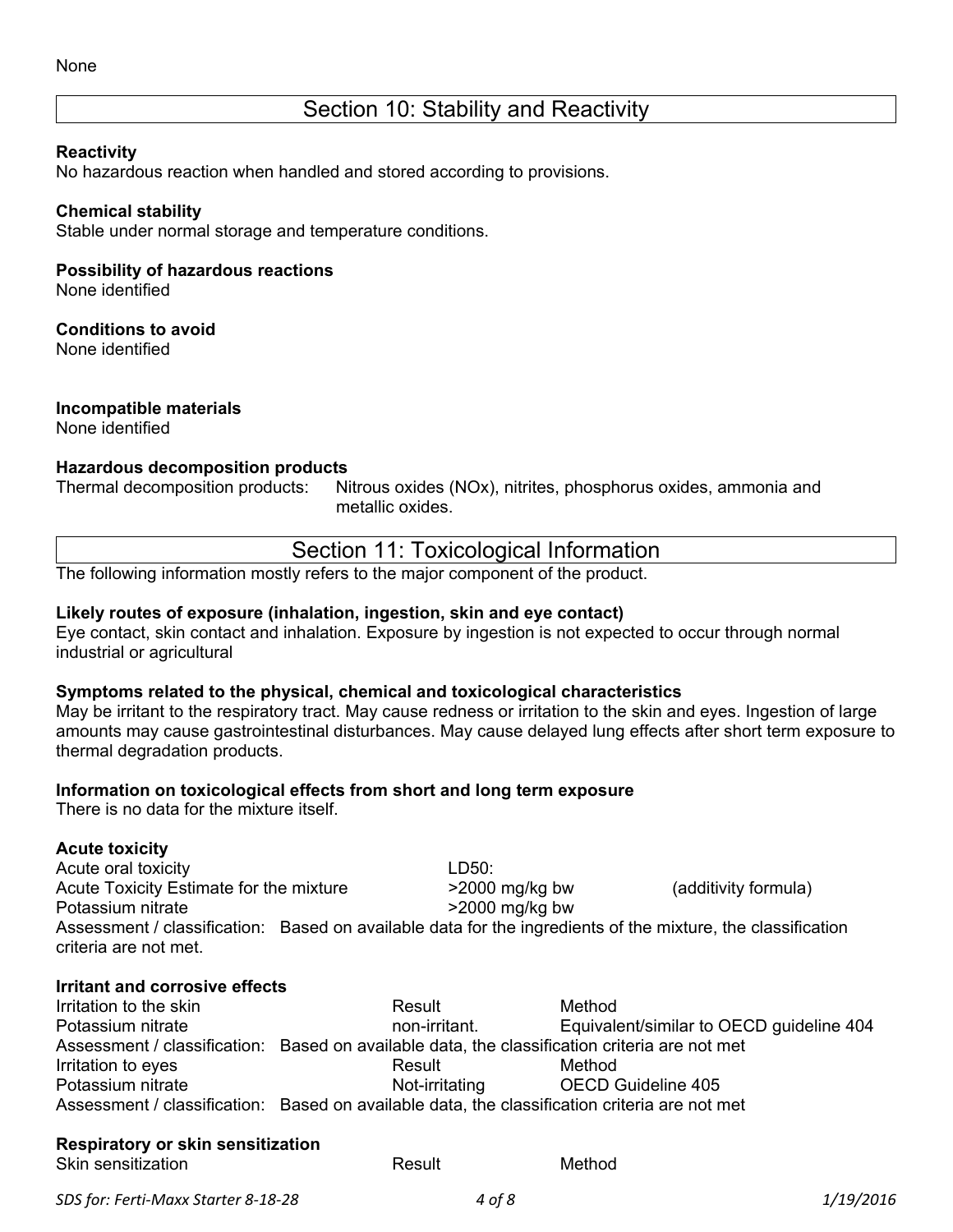## Section 10: Stability and Reactivity

#### **Reactivity**

No hazardous reaction when handled and stored according to provisions.

#### **Chemical stability**

Stable under normal storage and temperature conditions.

#### **Possibility of hazardous reactions**

None identified

#### **Conditions to avoid**

None identified

#### **Incompatible materials**

None identified

#### **Hazardous decomposition products**

Thermal decomposition products: Nitrous oxides (NOx), nitrites, phosphorus oxides, ammonia and

metallic oxides.

| Section 11: Toxicological Information |  |
|---------------------------------------|--|
|---------------------------------------|--|

The following information mostly refers to the major component of the product.

#### **Likely routes of exposure (inhalation, ingestion, skin and eye contact)**

Eye contact, skin contact and inhalation. Exposure by ingestion is not expected to occur through normal industrial or agricultural

#### **Symptoms related to the physical, chemical and toxicological characteristics**

May be irritant to the respiratory tract. May cause redness or irritation to the skin and eyes. Ingestion of large amounts may cause gastrointestinal disturbances. May cause delayed lung effects after short term exposure to thermal degradation products.

#### **Information on toxicological effects from short and long term exposure**

There is no data for the mixture itself.

#### **Acute toxicity**

Acute oral toxicity and the set of the LD50: Acute Toxicity Estimate for the mixture  $>2000$  mg/kg bw (additivity formula) Potassium nitrate  $>2000$  mg/kg bw Assessment / classification: Based on available data for the ingredients of the mixture, the classification criteria are not met.

#### **Irritant and corrosive effects**

| Irritation to the skin | Result                                                                                        | Method                                   |
|------------------------|-----------------------------------------------------------------------------------------------|------------------------------------------|
| Potassium nitrate      | non-irritant.                                                                                 | Equivalent/similar to OECD guideline 404 |
|                        | Assessment / classification: Based on available data, the classification criteria are not met |                                          |
| Irritation to eyes     | Result                                                                                        | Method                                   |
| Potassium nitrate      | Not-irritating                                                                                | <b>OECD Guideline 405</b>                |
|                        | Assessment / classification: Based on available data, the classification criteria are not met |                                          |

#### **Respiratory or skin sensitization**

| Skin sensitization | Result | Method |
|--------------------|--------|--------|
|                    |        |        |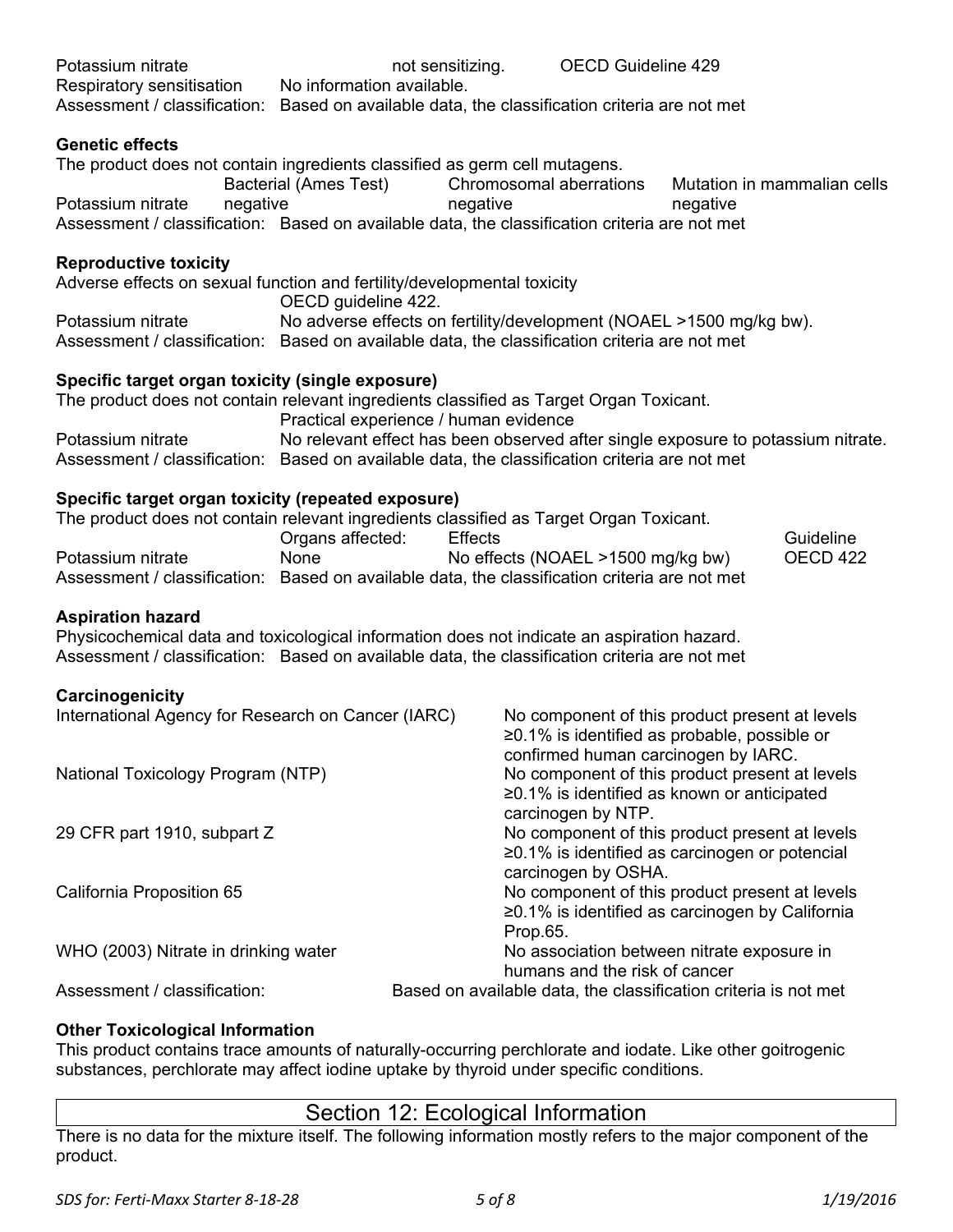| Potassium nitrate                                                                                                                                                                                                       |          |                                                                     | not sensitizing. |          | <b>OECD Guideline 429</b>         |                                                                                                                                      |                                                                                  |
|-------------------------------------------------------------------------------------------------------------------------------------------------------------------------------------------------------------------------|----------|---------------------------------------------------------------------|------------------|----------|-----------------------------------|--------------------------------------------------------------------------------------------------------------------------------------|----------------------------------------------------------------------------------|
| Respiratory sensitisation                                                                                                                                                                                               |          | No information available.                                           |                  |          |                                   |                                                                                                                                      |                                                                                  |
| Assessment / classification: Based on available data, the classification criteria are not met                                                                                                                           |          |                                                                     |                  |          |                                   |                                                                                                                                      |                                                                                  |
| <b>Genetic effects</b>                                                                                                                                                                                                  |          |                                                                     |                  |          |                                   |                                                                                                                                      |                                                                                  |
| The product does not contain ingredients classified as germ cell mutagens.                                                                                                                                              |          | Bacterial (Ames Test)                                               |                  |          | Chromosomal aberrations           |                                                                                                                                      | Mutation in mammalian cells                                                      |
| Potassium nitrate                                                                                                                                                                                                       | negative |                                                                     | negative         |          |                                   | negative                                                                                                                             |                                                                                  |
| Assessment / classification: Based on available data, the classification criteria are not met                                                                                                                           |          |                                                                     |                  |          |                                   |                                                                                                                                      |                                                                                  |
| <b>Reproductive toxicity</b>                                                                                                                                                                                            |          |                                                                     |                  |          |                                   |                                                                                                                                      |                                                                                  |
| Adverse effects on sexual function and fertility/developmental toxicity                                                                                                                                                 |          | OECD guideline 422.                                                 |                  |          |                                   |                                                                                                                                      |                                                                                  |
| Potassium nitrate                                                                                                                                                                                                       |          | No adverse effects on fertility/development (NOAEL >1500 mg/kg bw). |                  |          |                                   |                                                                                                                                      |                                                                                  |
| Assessment / classification: Based on available data, the classification criteria are not met                                                                                                                           |          |                                                                     |                  |          |                                   |                                                                                                                                      |                                                                                  |
| Specific target organ toxicity (single exposure)                                                                                                                                                                        |          |                                                                     |                  |          |                                   |                                                                                                                                      |                                                                                  |
| The product does not contain relevant ingredients classified as Target Organ Toxicant.                                                                                                                                  |          | Practical experience / human evidence                               |                  |          |                                   |                                                                                                                                      |                                                                                  |
| Potassium nitrate                                                                                                                                                                                                       |          |                                                                     |                  |          |                                   |                                                                                                                                      | No relevant effect has been observed after single exposure to potassium nitrate. |
| Assessment / classification: Based on available data, the classification criteria are not met                                                                                                                           |          |                                                                     |                  |          |                                   |                                                                                                                                      |                                                                                  |
| Specific target organ toxicity (repeated exposure)<br>The product does not contain relevant ingredients classified as Target Organ Toxicant.                                                                            |          |                                                                     |                  |          |                                   |                                                                                                                                      |                                                                                  |
|                                                                                                                                                                                                                         |          | Organs affected:                                                    | <b>Effects</b>   |          |                                   |                                                                                                                                      | Guideline                                                                        |
| Potassium nitrate<br>Assessment / classification: Based on available data, the classification criteria are not met                                                                                                      |          | None                                                                |                  |          | No effects (NOAEL >1500 mg/kg bw) |                                                                                                                                      | OECD 422                                                                         |
| <b>Aspiration hazard</b><br>Physicochemical data and toxicological information does not indicate an aspiration hazard.<br>Assessment / classification: Based on available data, the classification criteria are not met |          |                                                                     |                  |          |                                   |                                                                                                                                      |                                                                                  |
| Carcinogenicity                                                                                                                                                                                                         |          |                                                                     |                  |          |                                   |                                                                                                                                      |                                                                                  |
| International Agency for Research on Cancer (IARC)                                                                                                                                                                      |          |                                                                     |                  |          |                                   | No component of this product present at levels<br>≥0.1% is identified as probable, possible or                                       |                                                                                  |
| National Toxicology Program (NTP)                                                                                                                                                                                       |          |                                                                     |                  |          | carcinogen by NTP.                | confirmed human carcinogen by IARC.<br>No component of this product present at levels<br>≥0.1% is identified as known or anticipated |                                                                                  |
| 29 CFR part 1910, subpart Z                                                                                                                                                                                             |          |                                                                     |                  |          |                                   | No component of this product present at levels<br>$\geq$ 0.1% is identified as carcinogen or potencial                               |                                                                                  |
| California Proposition 65                                                                                                                                                                                               |          |                                                                     |                  | Prop.65. | carcinogen by OSHA.               | No component of this product present at levels<br>≥0.1% is identified as carcinogen by California                                    |                                                                                  |
| WHO (2003) Nitrate in drinking water                                                                                                                                                                                    |          |                                                                     |                  |          |                                   | No association between nitrate exposure in                                                                                           |                                                                                  |
| Assessment / classification:                                                                                                                                                                                            |          |                                                                     |                  |          | humans and the risk of cancer     | Based on available data, the classification criteria is not met                                                                      |                                                                                  |
|                                                                                                                                                                                                                         |          |                                                                     |                  |          |                                   |                                                                                                                                      |                                                                                  |

### **Other Toxicological Information**

This product contains trace amounts of naturally-occurring perchlorate and iodate. Like other goitrogenic substances, perchlorate may affect iodine uptake by thyroid under specific conditions.

### Section 12: Ecological Information

There is no data for the mixture itself. The following information mostly refers to the major component of the product.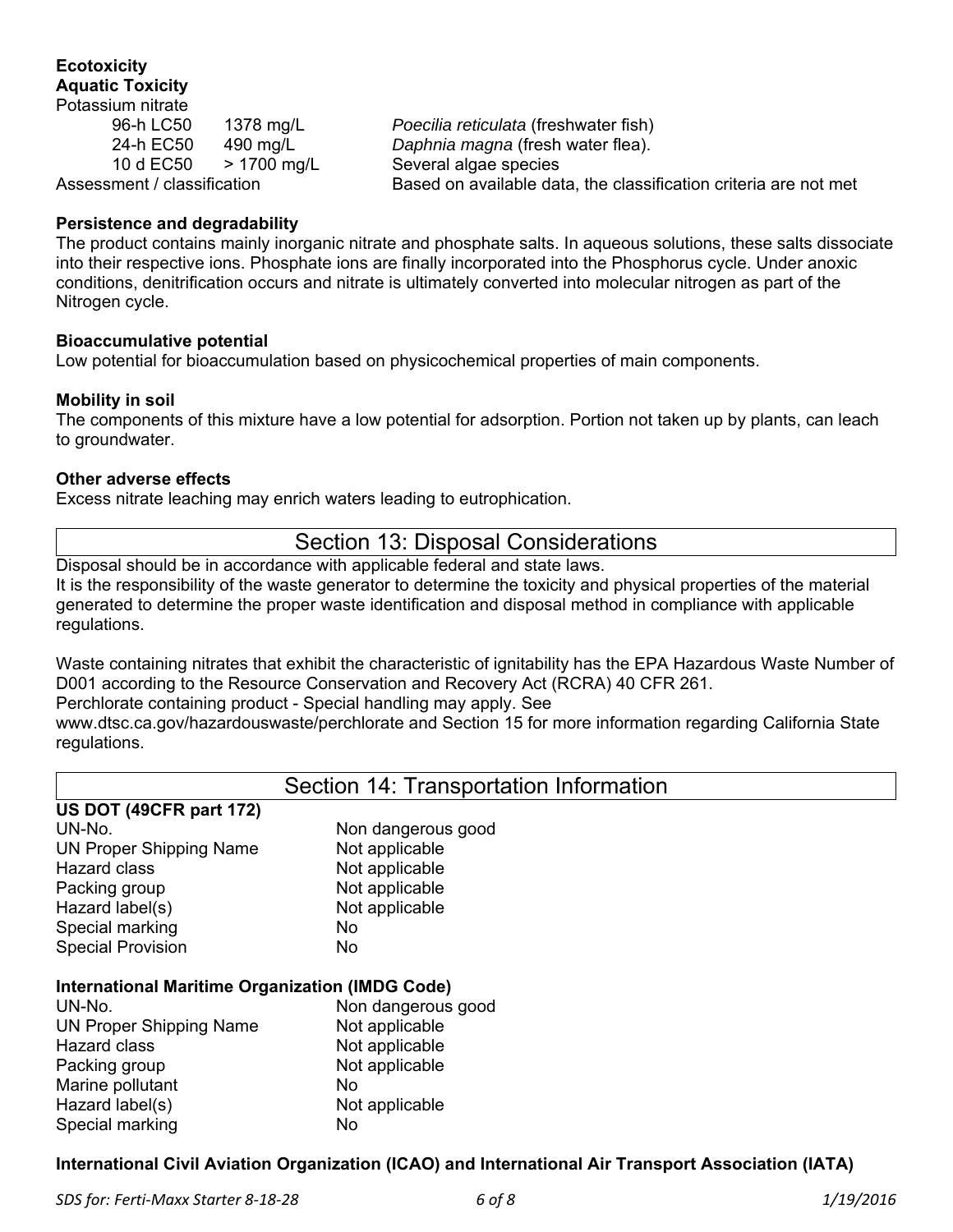#### **Ecotoxicity Aquatic Toxicity**  Potassium nitrate

10 d EC50 > 1700 mg/L Several algae species

96-h LC50 1378 mg/L *Poecilia reticulata* (freshwater fish) 24-h EC50 490 mg/L *Daphnia magna* (fresh water flea). Assessment / classification Based on available data, the classification criteria are not met

#### **Persistence and degradability**

The product contains mainly inorganic nitrate and phosphate salts. In aqueous solutions, these salts dissociate into their respective ions. Phosphate ions are finally incorporated into the Phosphorus cycle. Under anoxic conditions, denitrification occurs and nitrate is ultimately converted into molecular nitrogen as part of the Nitrogen cycle.

#### **Bioaccumulative potential**

Low potential for bioaccumulation based on physicochemical properties of main components.

#### **Mobility in soil**

The components of this mixture have a low potential for adsorption. Portion not taken up by plants, can leach to groundwater.

#### **Other adverse effects**

Excess nitrate leaching may enrich waters leading to eutrophication.

### Section 13: Disposal Considerations

Disposal should be in accordance with applicable federal and state laws. It is the responsibility of the waste generator to determine the toxicity and physical properties of the material generated to determine the proper waste identification and disposal method in compliance with applicable regulations.

Waste containing nitrates that exhibit the characteristic of ignitability has the EPA Hazardous Waste Number of D001 according to the Resource Conservation and Recovery Act (RCRA) 40 CFR 261.

Perchlorate containing product - Special handling may apply. See

www.dtsc.ca.gov/hazardouswaste/perchlorate and Section 15 for more information regarding California State regulations.

### Section 14: Transportation Information

| US DOT (49CFR part 172)                                |                    |
|--------------------------------------------------------|--------------------|
| UN-No.                                                 | Non dangerous good |
| <b>UN Proper Shipping Name</b>                         | Not applicable     |
| <b>Hazard class</b>                                    | Not applicable     |
| Packing group                                          | Not applicable     |
| Hazard label(s)                                        | Not applicable     |
| Special marking                                        | No                 |
| <b>Special Provision</b>                               | No                 |
| <b>International Maritime Organization (IMDG Code)</b> |                    |

| UN-No.                         | Non dangerous good |
|--------------------------------|--------------------|
| <b>UN Proper Shipping Name</b> | Not applicable     |
| Hazard class                   | Not applicable     |
| Packing group                  | Not applicable     |
| Marine pollutant               | No                 |
| Hazard label(s)                | Not applicable     |
| Special marking                | No                 |

#### **International Civil Aviation Organization (ICAO) and International Air Transport Association (IATA)**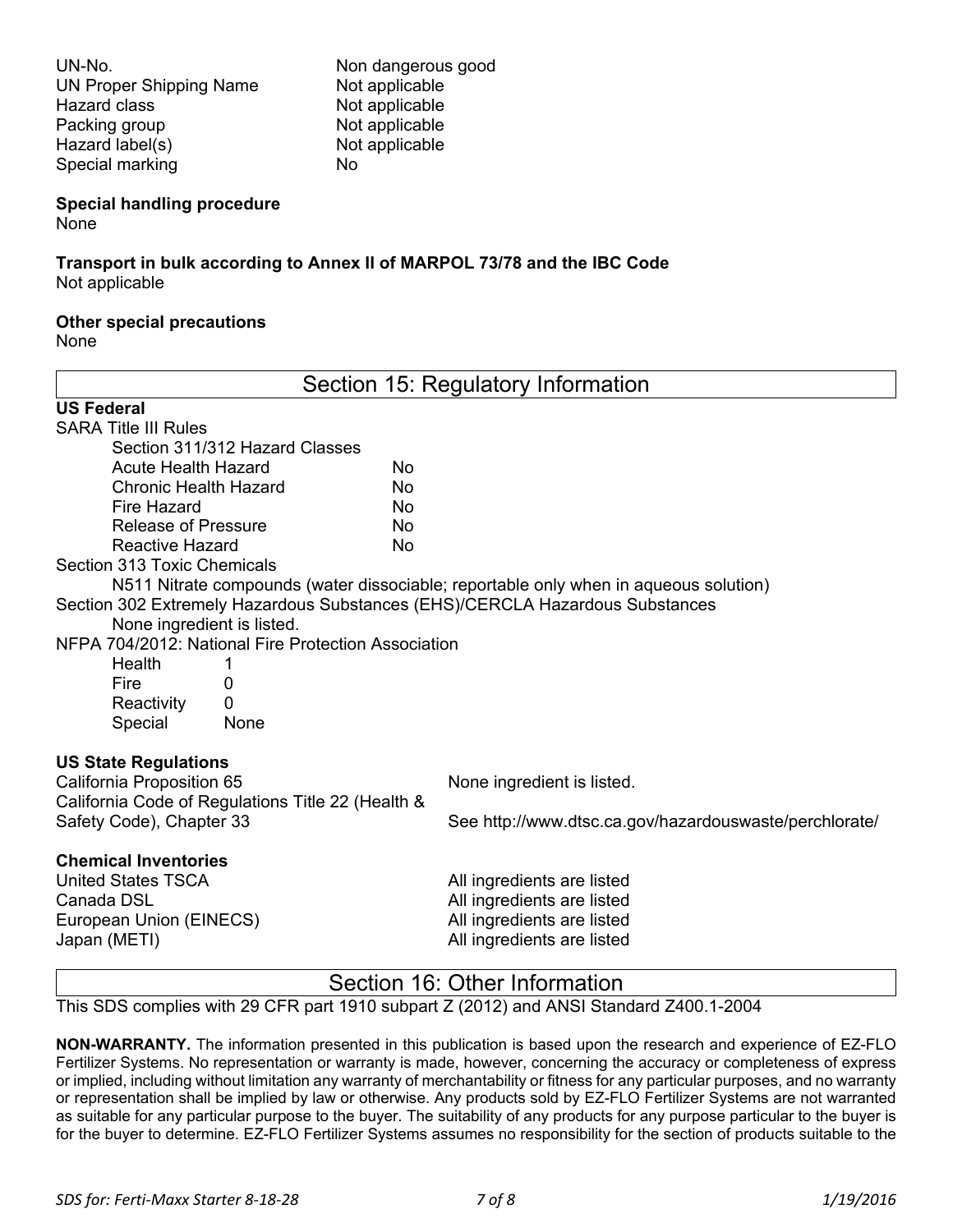UN-No. Non dangerous good UN Proper Shipping Name Not applicable Hazard class Not applicable Packing group Not applicable Hazard label(s) Not applicable Special marking No

#### **Special handling procedure**

None

# **Transport in bulk according to Annex II of MARPOL 73/78 and the IBC Code**

Not applicable

#### **Other special precautions**

None

| Section 15: Regulatory Information                                           |                                                                                      |
|------------------------------------------------------------------------------|--------------------------------------------------------------------------------------|
| <b>US Federal</b>                                                            |                                                                                      |
| <b>SARA Title III Rules</b>                                                  |                                                                                      |
| Section 311/312 Hazard Classes                                               |                                                                                      |
| <b>Acute Health Hazard</b><br>No                                             |                                                                                      |
| <b>Chronic Health Hazard</b><br>No                                           |                                                                                      |
| Fire Hazard<br>No                                                            |                                                                                      |
| <b>Release of Pressure</b><br>No                                             |                                                                                      |
| <b>Reactive Hazard</b><br>No                                                 |                                                                                      |
| Section 313 Toxic Chemicals                                                  |                                                                                      |
|                                                                              | N511 Nitrate compounds (water dissociable; reportable only when in aqueous solution) |
| Section 302 Extremely Hazardous Substances (EHS)/CERCLA Hazardous Substances |                                                                                      |
| None ingredient is listed.                                                   |                                                                                      |
| NFPA 704/2012: National Fire Protection Association                          |                                                                                      |
| Health<br>1                                                                  |                                                                                      |
| Fire<br>O                                                                    |                                                                                      |
| $\Omega$<br>Reactivity                                                       |                                                                                      |
| Special<br>None                                                              |                                                                                      |
| <b>US State Regulations</b>                                                  |                                                                                      |
| California Proposition 65                                                    | None ingredient is listed.                                                           |
| California Code of Regulations Title 22 (Health &                            |                                                                                      |
| Safety Code), Chapter 33                                                     | See http://www.dtsc.ca.gov/hazardouswaste/perchlorate/                               |
| <b>Chemical Inventories</b>                                                  |                                                                                      |
| <b>United States TSCA</b>                                                    | All ingredients are listed                                                           |
| Canada DSL                                                                   | All ingredients are listed                                                           |
| European Union (EINECS)                                                      | All ingredients are listed                                                           |
| Japan (METI)                                                                 | All ingredients are listed                                                           |
| Section 16: Other Information                                                |                                                                                      |

This SDS complies with 29 CFR part 1910 subpart Z (2012) and ANSI Standard Z400.1-2004

**NON-WARRANTY.** The information presented in this publication is based upon the research and experience of EZ-FLO Fertilizer Systems. No representation or warranty is made, however, concerning the accuracy or completeness of express or implied, including without limitation any warranty of merchantability or fitness for any particular purposes, and no warranty or representation shall be implied by law or otherwise. Any products sold by EZ-FLO Fertilizer Systems are not warranted as suitable for any particular purpose to the buyer. The suitability of any products for any purpose particular to the buyer is for the buyer to determine. EZ-FLO Fertilizer Systems assumes no responsibility for the section of products suitable to the